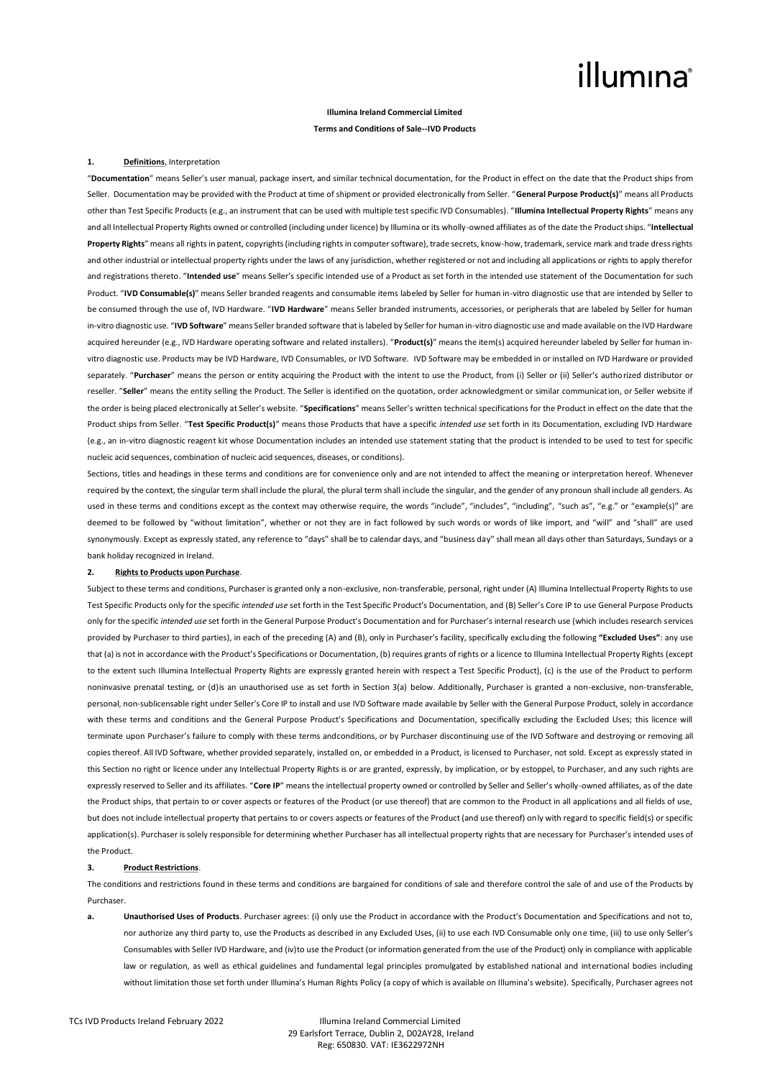## illumına

### **Illumina Ireland Commercial Limited Terms and Conditions of Sale--IVD Products**

### **1. Definitions**, Interpretation

"**Documentation**" means Seller's user manual, package insert, and similar technical documentation, for the Product in effect on the date that the Product ships from Seller. Documentation may be provided with the Product at time of shipment or provided electronically from Seller. "**General Purpose Product(s)**" means all Products other than Test Specific Products (e.g., an instrument that can be used with multiple test specific IVD Consumables). "**Illumina Intellectual Property Rights**" means any and all Intellectual Property Rights owned or controlled (including under licence) by Illumina or its wholly-owned affiliates as of the date the Product ships. "**Intellectual Property Rights**" means all rights in patent, copyrights (including rights in computer software), trade secrets, know-how, trademark, service mark and trade dress rights and other industrial or intellectual property rights under the laws of any jurisdiction, whether registered or not and including all applications or rights to apply therefor and registrations thereto. "**Intended use**" means Seller's specific intended use of a Product as set forth in the intended use statement of the Documentation for such Product. "**IVD Consumable(s)**" means Seller branded reagents and consumable items labeled by Seller for human in-vitro diagnostic use that are intended by Seller to be consumed through the use of, IVD Hardware. "**IVD Hardware**" means Seller branded instruments, accessories, or peripherals that are labeled by Seller for human in-vitro diagnostic use. "**IVD Software**" means Seller branded software that is labeled by Seller for human in-vitro diagnostic use and made available on the IVD Hardware acquired hereunder (e.g., IVD Hardware operating software and related installers). "**Product(s)**" means the item(s) acquired hereunder labeled by Seller for human invitro diagnostic use. Products may be IVD Hardware, IVD Consumables, or IVD Software. IVD Software may be embedded in or installed on IVD Hardware or provided separately. "Purchaser" means the person or entity acquiring the Product with the intent to use the Product, from (i) Seller or (ii) Seller's authorized distributor or reseller. "**Seller**" means the entity selling the Product. The Seller is identified on the quotation, order acknowledgment or similar communication, or Seller website if the order is being placed electronically at Seller's website. "**Specifications**" means Seller's written technical specifications for the Product in effect on the date that the Product ships from Seller. "**Test Specific Product(s)**" means those Products that have a specific *intended use* set forth in its Documentation, excluding IVD Hardware (e.g., an in-vitro diagnostic reagent kit whose Documentation includes an intended use statement stating that the product is intended to be used to test for specific nucleic acid sequences, combination of nucleic acid sequences, diseases, or conditions).

Sections, titles and headings in these terms and conditions are for convenience only and are not intended to affect the meaning or interpretation hereof. Whenever required by the context, the singular term shall include the plural, the plural term shall include the singular, and the gender of any pronoun shall include all genders. As used in these terms and conditions except as the context may otherwise require, the words "include", "includes", "including", "such as", "e.g." or "example(s)" are deemed to be followed by "without limitation", whether or not they are in fact followed by such words or words of like import, and "will" and "shall" are used synonymously. Except as expressly stated, any reference to "days" shall be to calendar days, and "business day" shall mean all days other than Saturdays, Sundays or a bank holiday recognized in Ireland.

### **2. Rights to Products upon Purchase**.

Subject to these terms and conditions, Purchaser is granted only a non-exclusive, non-transferable, personal, right under (A) Illumina Intellectual Property Rights to use Test Specific Products only for the specific *intended use* set forth in the Test Specific Product's Documentation, and (B) Seller's Core IP to use General Purpose Products only for the specific *intended use* set forth in the General Purpose Product's Documentation and for Purchaser's internal research use (which includes research services provided by Purchaser to third parties), in each of the preceding (A) and (B), only in Purchaser's facility, specifically excluding the following **"Excluded Uses"**: any use that (a) is not in accordance with the Product's Specifications or Documentation, (b) requires grants of rights or a licence to Illumina Intellectual Property Rights (except to the extent such Illumina Intellectual Property Rights are expressly granted herein with respect a Test Specific Product), (c) is the use of the Product to perform noninvasive prenatal testing, or (d)is an unauthorised use as set forth in Section 3(a) below. Additionally, Purchaser is granted a non-exclusive, non-transferable, personal, non-sublicensable right under Seller's Core IP to install and use IVD Software made available by Seller with the General Purpose Product, solely in accordance with these terms and conditions and the General Purpose Product's Specifications and Documentation, specifically excluding the Excluded Uses; this licence will terminate upon Purchaser's failure to comply with these terms andconditions, or by Purchaser discontinuing use of the IVD Software and destroying or removing all copiesthereof. All IVD Software, whether provided separately, installed on, or embedded in a Product, is licensed to Purchaser, not sold. Except as expressly stated in this Section no right or licence under any Intellectual Property Rights is or are granted, expressly, by implication, or by estoppel, to Purchaser, and any such rights are expressly reserved to Seller and its affiliates. "**Core IP**" means the intellectual property owned or controlled by Seller and Seller's wholly-owned affiliates, as of the date the Product ships, that pertain to or cover aspects or features of the Product (or use thereof) that are common to the Product in all applications and all fields of use, but does not include intellectual property that pertains to or covers aspects or features of the Product (and use thereof) only with regard to specific field(s) or specific application(s). Purchaser is solely responsible for determining whether Purchaser has all intellectual property rights that are necessary for Purchaser's intended uses of the Product.

#### **3. Product Restrictions**.

The conditions and restrictions found in these terms and conditions are bargained for conditions of sale and therefore control the sale of and use of the Products by Purchaser.

**a. Unauthorised Uses of Products**. Purchaser agrees: (i) only use the Product in accordance with the Product's Documentation and Specifications and not to, nor authorize any third party to, use the Products as described in any Excluded Uses, (ii) to use each IVD Consumable only one time, (iii) to use only Seller's Consumables with Seller IVD Hardware, and (iv)to use the Product (or information generated from the use of the Product) only in compliance with applicable law or regulation, as well as ethical guidelines and fundamental legal principles promulgated by established national and international bodies including without limitation those set forth under Illumina's Human Rights Policy (a copy of which is available on Illumina's website). Specifically, Purchaser agrees not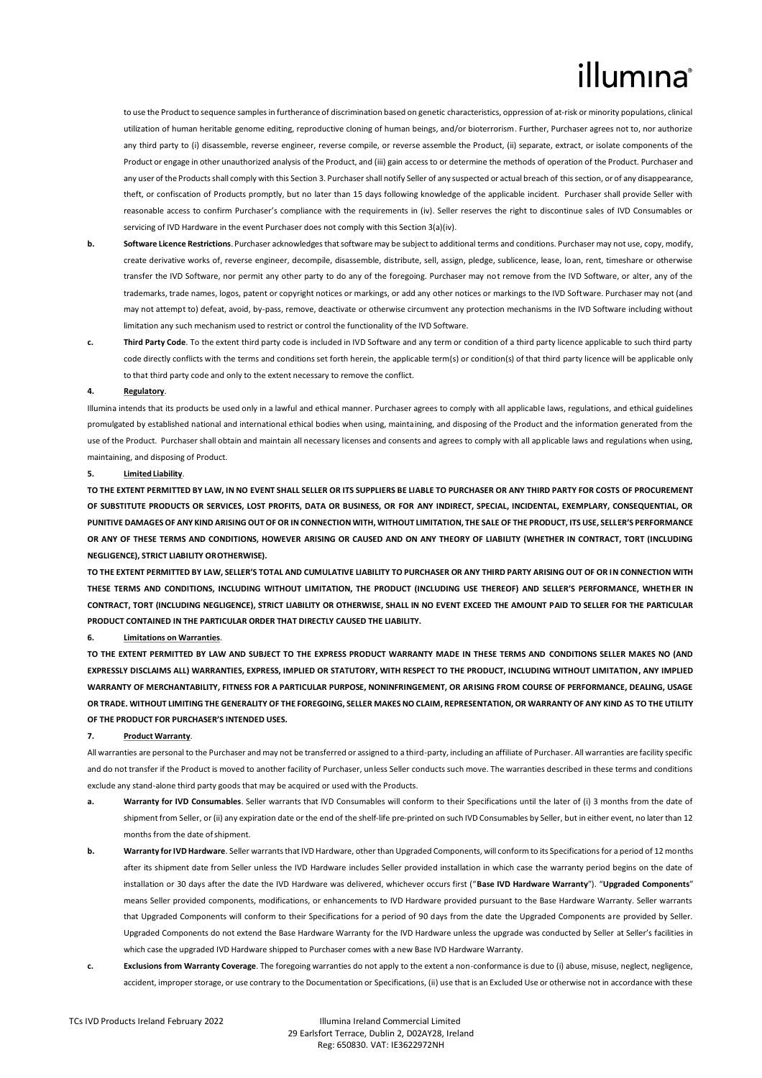# illumına

to use the Product to sequence samples in furtherance of discrimination based on genetic characteristics, oppression of at-risk or minority populations, clinical utilization of human heritable genome editing, reproductive cloning of human beings, and/or bioterrorism. Further, Purchaser agrees not to, nor authorize any third party to (i) disassemble, reverse engineer, reverse compile, or reverse assemble the Product, (ii) separate, extract, or isolate components of the Product or engage in other unauthorized analysis of the Product, and (iii) gain access to or determine the methods of operation of the Product. Purchaser and any user of the Products shall comply with this Section 3. Purchaser shall notify Seller of any suspected or actual breach of this section, or of any disappearance, theft, or confiscation of Products promptly, but no later than 15 days following knowledge of the applicable incident. Purchaser shall provide Seller with reasonable access to confirm Purchaser's compliance with the requirements in (iv). Seller reserves the right to discontinue sales of IVD Consumables or servicing of IVD Hardware in the event Purchaser does not comply with this Section 3(a)(iv).

- **b.** Software Licence Restrictions. Purchaser acknowledges that software may be subject to additional terms and conditions. Purchaser may not use, copy, modify, create derivative works of, reverse engineer, decompile, disassemble, distribute, sell, assign, pledge, sublicence, lease, loan, rent, timeshare or otherwise transfer the IVD Software, nor permit any other party to do any of the foregoing. Purchaser may not remove from the IVD Software, or alter, any of the trademarks, trade names, logos, patent or copyright notices or markings, or add any other notices or markings to the IVD Software. Purchaser may not (and may not attempt to) defeat, avoid, by-pass, remove, deactivate or otherwise circumvent any protection mechanisms in the IVD Software including without limitation any such mechanism used to restrict or control the functionality of the IVD Software.
- **c. Third Party Code**. To the extent third party code is included in IVD Software and any term or condition of a third party licence applicable to such third party code directly conflicts with the terms and conditions set forth herein, the applicable term(s) or condition(s) of that third party licence will be applicable only to that third party code and only to the extent necessary to remove the conflict.

#### **4. Regulatory**.

Illumina intends that its products be used only in a lawful and ethical manner. Purchaser agrees to comply with all applicable laws, regulations, and ethical guidelines promulgated by established national and international ethical bodies when using, maintaining, and disposing of the Product and the information generated from the use of the Product. Purchaser shall obtain and maintain all necessary licenses and consents and agrees to comply with all applicable laws and regulations when using, maintaining, and disposing of Product.

#### **5. Limited Liability**.

**TO THE EXTENT PERMITTED BY LAW, IN NO EVENT SHALL SELLER OR ITS SUPPLIERS BE LIABLE TO PURCHASER OR ANY THIRD PARTY FOR COSTS OF PROCUREMENT OF SUBSTITUTE PRODUCTS OR SERVICES, LOST PROFITS, DATA OR BUSINESS, OR FOR ANY INDIRECT, SPECIAL, INCIDENTAL, EXEMPLARY, CONSEQUENTIAL, OR PUNITIVE DAMAGES OF ANY KIND ARISING OUT OF OR IN CONNECTION WITH, WITHOUT LIMITATION, THE SALE OF THE PRODUCT, ITS USE, SELLER'S PERFORMANCE OR ANY OF THESE TERMS AND CONDITIONS, HOWEVER ARISING OR CAUSED AND ON ANY THEORY OF LIABILITY (WHETHER IN CONTRACT, TORT (INCLUDING NEGLIGENCE), STRICT LIABILITY OROTHERWISE).**

**TO THE EXTENT PERMITTED BY LAW, SELLER'S TOTAL AND CUMULATIVE LIABILITY TO PURCHASER OR ANY THIRD PARTY ARISING OUT OF OR IN CONNECTION WITH THESE TERMS AND CONDITIONS, INCLUDING WITHOUT LIMITATION, THE PRODUCT (INCLUDING USE THEREOF) AND SELLER'S PERFORMANCE, WHETHER IN CONTRACT, TORT (INCLUDING NEGLIGENCE), STRICT LIABILITY OR OTHERWISE, SHALL IN NO EVENT EXCEED THE AMOUNT PAID TO SELLER FOR THE PARTICULAR PRODUCT CONTAINED IN THE PARTICULAR ORDER THAT DIRECTLY CAUSED THE LIABILITY.**

#### **6. Limitations on Warranties**.

**TO THE EXTENT PERMITTED BY LAW AND SUBJECT TO THE EXPRESS PRODUCT WARRANTY MADE IN THESE TERMS AND CONDITIONS SELLER MAKES NO (AND EXPRESSLY DISCLAIMS ALL) WARRANTIES, EXPRESS, IMPLIED OR STATUTORY, WITH RESPECT TO THE PRODUCT, INCLUDING WITHOUT LIMITATION, ANY IMPLIED WARRANTY OF MERCHANTABILITY, FITNESS FOR A PARTICULAR PURPOSE, NONINFRINGEMENT, OR ARISING FROM COURSE OF PERFORMANCE, DEALING, USAGE OR TRADE. WITHOUT LIMITING THE GENERALITY OF THE FOREGOING, SELLER MAKES NO CLAIM, REPRESENTATION, OR WARRANTY OF ANY KIND AS TO THE UTILITY OF THE PRODUCT FOR PURCHASER'S INTENDED USES.**

### **7. Product Warranty**.

All warranties are personal to the Purchaser and may not be transferred or assigned to a third-party, including an affiliate of Purchaser. All warranties are facility specific and do not transfer if the Product is moved to another facility of Purchaser, unless Seller conducts such move. The warranties described in these terms and conditions exclude any stand-alone third party goods that may be acquired or used with the Products.

- **a. Warranty for IVD Consumables**. Seller warrants that IVD Consumables will conform to their Specifications until the later of (i) 3 months from the date of shipmentfrom Seller, or (ii) any expiration date or the end of the shelf-life pre-printed on such IVD Consumables by Seller, but in either event, no later than 12 months from the date ofshipment.
- **b. Warranty for IVD Hardware**. Seller warrants that IVD Hardware, other than Upgraded Components, will conform to its Specifications for a period of 12 months after its shipment date from Seller unless the IVD Hardware includes Seller provided installation in which case the warranty period begins on the date of installation or 30 days after the date the IVD Hardware was delivered, whichever occurs first ("**Base IVD Hardware Warranty**"). "**Upgraded Components**" means Seller provided components, modifications, or enhancements to IVD Hardware provided pursuant to the Base Hardware Warranty. Seller warrants that Upgraded Components will conform to their Specifications for a period of 90 days from the date the Upgraded Components are provided by Seller. Upgraded Components do not extend the Base Hardware Warranty for the IVD Hardware unless the upgrade was conducted by Seller at Seller's facilities in which case the upgraded IVD Hardware shipped to Purchaser comes with a new Base IVD Hardware Warranty.
- **c. Exclusions from Warranty Coverage**. The foregoing warranties do not apply to the extent a non-conformance is due to (i) abuse, misuse, neglect, negligence, accident, improper storage, or use contrary to the Documentation or Specifications, (ii) use that is an Excluded Use or otherwise not in accordance with these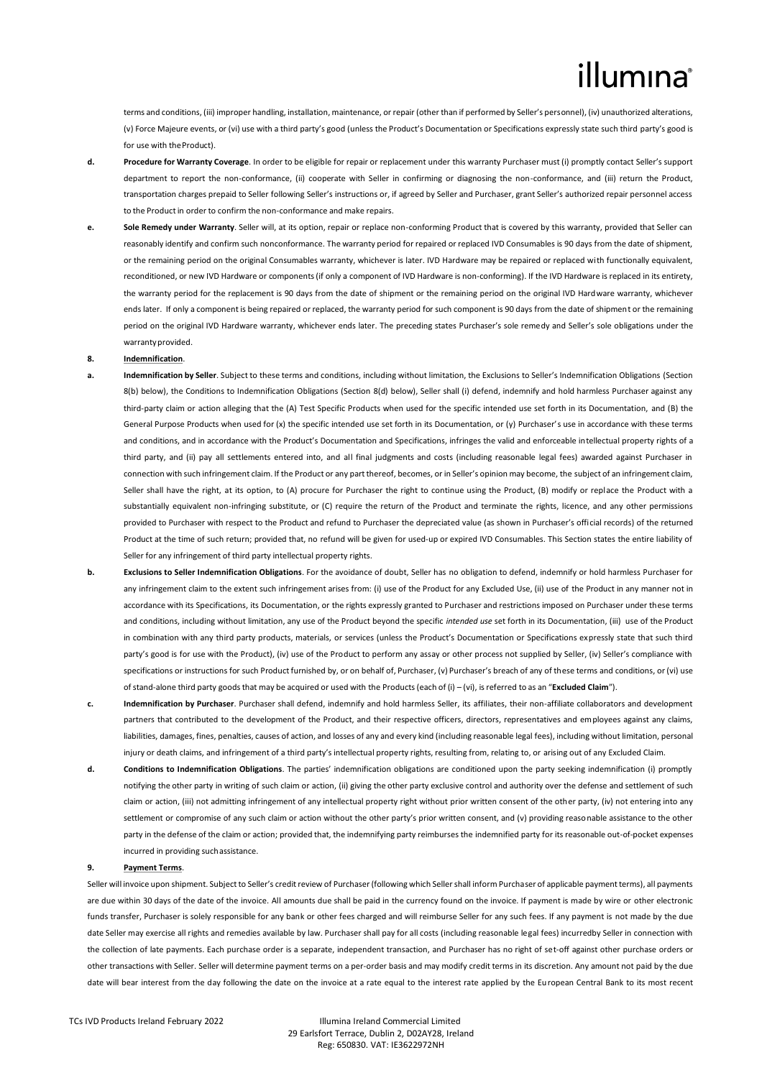# illumina

terms and conditions, (iii) improper handling, installation, maintenance, or repair (other than if performed by Seller's personnel), (iv) unauthorized alterations, (v) Force Majeure events, or (vi) use with a third party's good (unless the Product's Documentation or Specifications expressly state such third party's good is for use with theProduct).

- **d. Procedure for Warranty Coverage**. In order to be eligible for repair or replacement under this warranty Purchaser must (i) promptly contact Seller's support department to report the non-conformance, (ii) cooperate with Seller in confirming or diagnosing the non-conformance, and (iii) return the Product, transportation charges prepaid to Seller following Seller's instructions or, if agreed by Seller and Purchaser, grant Seller's authorized repair personnel access to the Product in order to confirm the non-conformance and make repairs.
- **e. Sole Remedy under Warranty**. Seller will, at its option, repair or replace non-conforming Product that is covered by this warranty, provided that Seller can reasonably identify and confirm such nonconformance. The warranty period for repaired or replaced IVD Consumables is 90 days from the date of shipment, or the remaining period on the original Consumables warranty, whichever is later. IVD Hardware may be repaired or replaced with functionally equivalent, reconditioned, or new IVD Hardware or components (if only a component of IVD Hardware is non-conforming). If the IVD Hardware is replaced in its entirety, the warranty period for the replacement is 90 days from the date of shipment or the remaining period on the original IVD Hardware warranty, whichever ends later. If only a component is being repaired or replaced, the warranty period for such component is 90 days from the date of shipment or the remaining period on the original IVD Hardware warranty, whichever ends later. The preceding states Purchaser's sole remedy and Seller's sole obligations under the warranty provided.

### <span id="page-2-0"></span>**8. Indemnification**.

- **a. Indemnification by Seller**. Subject to these terms and conditions, including without limitation, the Exclusions to Seller's Indemnification Obligations (Section [8](#page-2-0)[\(b\)](#page-2-1) below), the Conditions to Indemnification Obligations (Sectio[n 8](#page-2-0)[\(d\)](#page-2-2) below), Seller shall (i) defend, indemnify and hold harmless Purchaser against any third-party claim or action alleging that the (A) Test Specific Products when used for the specific intended use set forth in its Documentation, and (B) the General Purpose Products when used for (x) the specific intended use set forth in its Documentation, or (y) Purchaser's use in accordance with these terms and conditions, and in accordance with the Product's Documentation and Specifications, infringes the valid and enforceable intellectual property rights of a third party, and (ii) pay all settlements entered into, and all final judgments and costs (including reasonable legal fees) awarded against Purchaser in connection with such infringement claim. If the Product or any part thereof, becomes, or in Seller's opinion may become, the subject of an infringement claim, Seller shall have the right, at its option, to (A) procure for Purchaser the right to continue using the Product, (B) modify or replace the Product with a substantially equivalent non-infringing substitute, or (C) require the return of the Product and terminate the rights, licence, and any other permissions provided to Purchaser with respect to the Product and refund to Purchaser the depreciated value (as shown in Purchaser's official records) of the returned Product at the time of such return; provided that, no refund will be given for used-up or expired IVD Consumables. This Section states the entire liability of Seller for any infringement of third party intellectual property rights.
- <span id="page-2-1"></span>**b. Exclusions to Seller Indemnification Obligations**. For the avoidance of doubt, Seller has no obligation to defend, indemnify or hold harmless Purchaser for any infringement claim to the extent such infringement arises from: (i) use of the Product for any Excluded Use, (ii) use of the Product in any manner not in accordance with its Specifications, its Documentation, or the rights expressly granted to Purchaser and restrictions imposed on Purchaser under these terms and conditions, including without limitation, any use of the Product beyond the specific *intended use* set forth in its Documentation, (iii) use of the Product in combination with any third party products, materials, or services (unless the Product's Documentation or Specifications expressly state that such third party's good is for use with the Product), (iv) use of the Product to perform any assay or other process not supplied by Seller, (iv) Seller's compliance with specifications or instructions for such Product furnished by, or on behalf of, Purchaser, (v) Purchaser's breach of any of these terms and conditions, or (vi) use ofstand-alone third party goodsthat may be acquired or used with the Products(each of (i) – (vi), isreferred to as an "**Excluded Claim**").
- **c. Indemnification by Purchaser**. Purchaser shall defend, indemnify and hold harmless Seller, its affiliates, their non-affiliate collaborators and development partners that contributed to the development of the Product, and their respective officers, directors, representatives and employees against any claims, liabilities, damages, fines, penalties, causes of action, and losses of any and every kind (including reasonable legal fees), including without limitation, personal injury or death claims, and infringement of a third party's intellectual property rights, resulting from, relating to, or arising out of any Excluded Claim.
- <span id="page-2-2"></span>**d. Conditions to Indemnification Obligations**. The parties' indemnification obligations are conditioned upon the party seeking indemnification (i) promptly notifying the other party in writing of such claim or action, (ii) giving the other party exclusive control and authority over the defense and settlement of such claim or action, (iii) not admitting infringement of any intellectual property right without prior written consent of the other party, (iv) not entering into any settlement or compromise of any such claim or action without the other party's prior written consent, and (v) providing reasonable assistance to the other party in the defense of the claim or action; provided that, the indemnifying party reimburses the indemnified party for its reasonable out-of-pocket expenses incurred in providing suchassistance.

#### **9. Payment Terms**.

Seller will invoice upon shipment. Subject to Seller's credit review of Purchaser (following which Seller shall inform Purchaser of applicable payment terms), all payments are due within 30 days of the date of the invoice. All amounts due shall be paid in the currency found on the invoice. If payment is made by wire or other electronic funds transfer, Purchaser is solely responsible for any bank or other fees charged and will reimburse Seller for any such fees. If any payment is not made by the due date Seller may exercise all rights and remedies available by law. Purchaser shall pay for all costs (including reasonable legal fees) incurredby Seller in connection with the collection of late payments. Each purchase order is a separate, independent transaction, and Purchaser has no right of set-off against other purchase orders or other transactions with Seller. Seller will determine payment terms on a per-order basis and may modify credit terms in its discretion. Any amount not paid by the due date will bear interest from the day following the date on the invoice at a rate equal to the interest rate applied by the European Central Bank to its most recent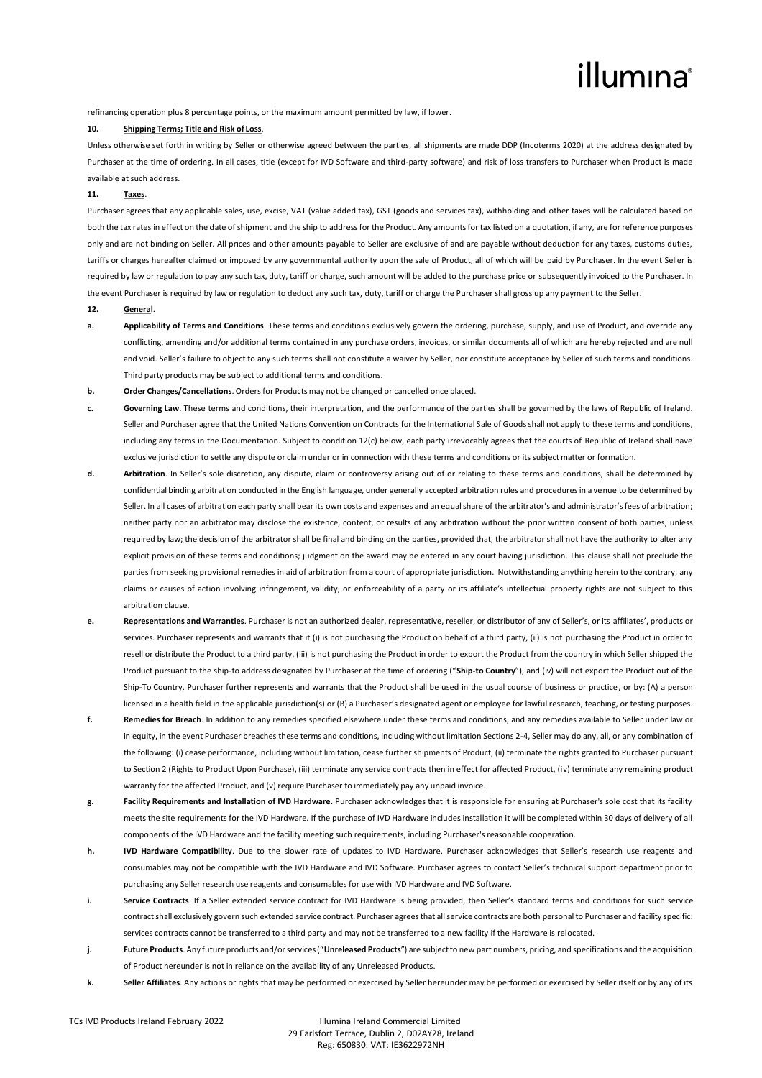# illumına

refinancing operation plus 8 percentage points, or the maximum amount permitted by law, if lower.

### **10. Shipping Terms; Title and Risk of Loss**.

Unless otherwise set forth in writing by Seller or otherwise agreed between the parties, all shipments are made DDP (Incoterms 2020) at the address designated by Purchaser at the time of ordering. In all cases, title (except for IVD Software and third-party software) and risk of loss transfers to Purchaser when Product is made available at such address.

#### **11. Taxes**.

Purchaser agrees that any applicable sales, use, excise, VAT (value added tax), GST (goods and services tax), withholding and other taxes will be calculated based on both the tax rates in effect on the date of shipment and the ship to address for the Product. Any amounts for tax listed on a quotation, if any, are for reference purposes only and are not binding on Seller. All prices and other amounts payable to Seller are exclusive of and are payable without deduction for any taxes, customs duties, tariffs or charges hereafter claimed or imposed by any governmental authority upon the sale of Product, all of which will be paid by Purchaser. In the event Seller is required by law or regulation to pay any such tax, duty, tariff or charge, such amount will be added to the purchase price or subsequently invoiced to the Purchaser. In the event Purchaser is required by law or regulation to deduct any such tax, duty, tariff or charge the Purchaser shall gross up any payment to the Seller.

#### **12. General**.

- **a. Applicability of Terms and Conditions**. These terms and conditions exclusively govern the ordering, purchase, supply, and use of Product, and override any conflicting, amending and/or additional terms contained in any purchase orders, invoices, or similar documents all of which are hereby rejected and are null and void. Seller's failure to object to any such terms shall not constitute a waiver by Seller, nor constitute acceptance by Seller of such terms and conditions. Third party products may be subject to additional terms and conditions.
- **b. Order Changes/Cancellations**. Ordersfor Products may not be changed or cancelled once placed.
- **c. Governing Law** These terms and conditions, their interpretation, and the performance of the parties shall be governed by the laws of Republic of Ireland. Seller and Purchaser agree that the United Nations Convention on Contracts for the International Sale of Goods shall not apply to these terms and conditions, including any terms in the Documentation. Subject to condition 12(c) below, each party irrevocably agrees that the courts of Republic of Ireland shall have exclusive jurisdiction to settle any dispute or claim under or in connection with these terms and conditions or its subject matter or formation.
- **d. Arbitration**. In Seller's sole discretion, any dispute, claim or controversy arising out of or relating to these terms and conditions, shall be determined by confidential binding arbitration conducted in the English language, under generally accepted arbitration rules and procedures in a venue to be determined by Seller. In all cases of arbitration each party shall bear its own costs and expenses and an equal share of the arbitrator's and administrator's fees of arbitration; neither party nor an arbitrator may disclose the existence, content, or results of any arbitration without the prior written consent of both parties, unless required by law; the decision of the arbitrator shall be final and binding on the parties, provided that, the arbitrator shall not have the authority to alter any explicit provision of these terms and conditions; judgment on the award may be entered in any court having jurisdiction. This clause shall not preclude the parties from seeking provisional remedies in aid of arbitration from a court of appropriate jurisdiction. Notwithstanding anything herein to the contrary, any claims or causes of action involving infringement, validity, or enforceability of a party or its affiliate's intellectual property rights are not subject to this arbitration clause.
- **e. Representations and Warranties**. Purchaser is not an authorized dealer, representative, reseller, or distributor of any of Seller's, or its affiliates', products or services. Purchaser represents and warrants that it (i) is not purchasing the Product on behalf of a third party, (ii) is not purchasing the Product in order to resell or distribute the Product to a third party, (iii) is not purchasing the Product in order to export the Product from the country in which Seller shipped the Product pursuant to the ship-to address designated by Purchaser at the time of ordering ("**Ship-to Country**"), and (iv) will not export the Product out of the Ship-To Country. Purchaser further represents and warrants that the Product shall be used in the usual course of business or practice, or by: (A) a person licensed in a health field in the applicable jurisdiction(s) or (B) a Purchaser's designated agent or employee for lawful research, teaching, or testing purposes.
- **f. Remedies for Breach**. In addition to any remedies specified elsewhere under these terms and conditions, and any remedies available to Seller under law or in equity, in the event Purchaser breaches these terms and conditions, including without limitation Sections 2-4, Seller may do any, all, or any combination of the following: (i) cease performance, including without limitation, cease further shipments of Product, (ii) terminate the rights granted to Purchaser pursuant to Section 2 (Rights to Product Upon Purchase), (iii) terminate any service contracts then in effect for affected Product, (iv) terminate any remaining product warranty for the affected Product, and (v) require Purchaser to immediately pay any unpaid invoice.
- **g. Facility Requirements and Installation of IVD Hardware**. Purchaser acknowledges that it is responsible for ensuring at Purchaser's sole cost that its facility meets the site requirements for the IVD Hardware. If the purchase of IVD Hardware includes installation it will be completed within 30 days of delivery of all components of the IVD Hardware and the facility meeting such requirements, including Purchaser's reasonable cooperation.
- **h. IVD Hardware Compatibility**. Due to the slower rate of updates to IVD Hardware, Purchaser acknowledges that Seller's research use reagents and consumables may not be compatible with the IVD Hardware and IVD Software. Purchaser agrees to contact Seller's technical support department prior to purchasing any Seller research use reagents and consumables for use with IVD Hardware and IVD Software.
- **i. Service Contracts**. If a Seller extended service contract for IVD Hardware is being provided, then Seller's standard terms and conditions for such service contract shall exclusively govern such extended service contract. Purchaser agrees that all service contracts are both personal to Purchaser and facility specific: services contracts cannot be transferred to a third party and may not be transferred to a new facility if the Hardware is relocated.
- **j. Future Products**. Any future products and/or services ("**Unreleased Products**") are subject to new part numbers, pricing, and specifications and the acquisition of Product hereunder is not in reliance on the availability of any Unreleased Products.
- **k. Seller Affiliates**. Any actions or rights that may be performed or exercised by Seller hereunder may be performed or exercised by Seller itself or by any of its